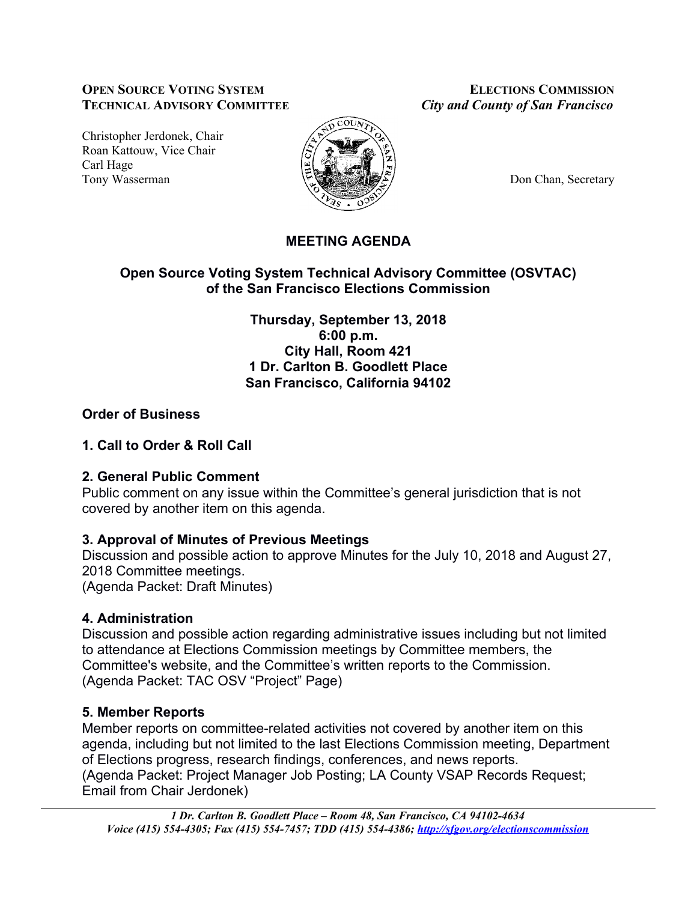### **OPEN SOURCE VOTING SYSTEM ELECTIONS COMMISSION TECHNICAL ADVISORY COMMITTEE** *City and County of San Francisco*

Christopher Jerdonek, Chair Roan Kattouw, Vice Chair Carl Hage Tony Wasserman **Don Chan, Secretary Don** Chan, Secretary



## **MEETING AGENDA**

## **Open Source Voting System Technical Advisory Committee (OSVTAC) of the San Francisco Elections Commission**

**Thursday, September 13, 2018 6:00 p.m. City Hall, Room 421 1 Dr. Carlton B. Goodlett Place San Francisco, California 94102**

## **Order of Business**

## **1. Call to Order & Roll Call**

## **2. General Public Comment**

Public comment on any issue within the Committee's general jurisdiction that is not covered by another item on this agenda.

## **3. Approval of Minutes of Previous Meetings**

Discussion and possible action to approve Minutes for the July 10, 2018 and August 27, 2018 Committee meetings.

(Agenda Packet: Draft Minutes)

# **4. Administration**

Discussion and possible action regarding administrative issues including but not limited to attendance at Elections Commission meetings by Committee members, the Committee's website, and the Committee's written reports to the Commission. (Agenda Packet: TAC OSV "Project" Page)

# **5. Member Reports**

Member reports on committee-related activities not covered by another item on this agenda, including but not limited to the last Elections Commission meeting, Department of Elections progress, research findings, conferences, and news reports. (Agenda Packet: Project Manager Job Posting; LA County VSAP Records Request; Email from Chair Jerdonek)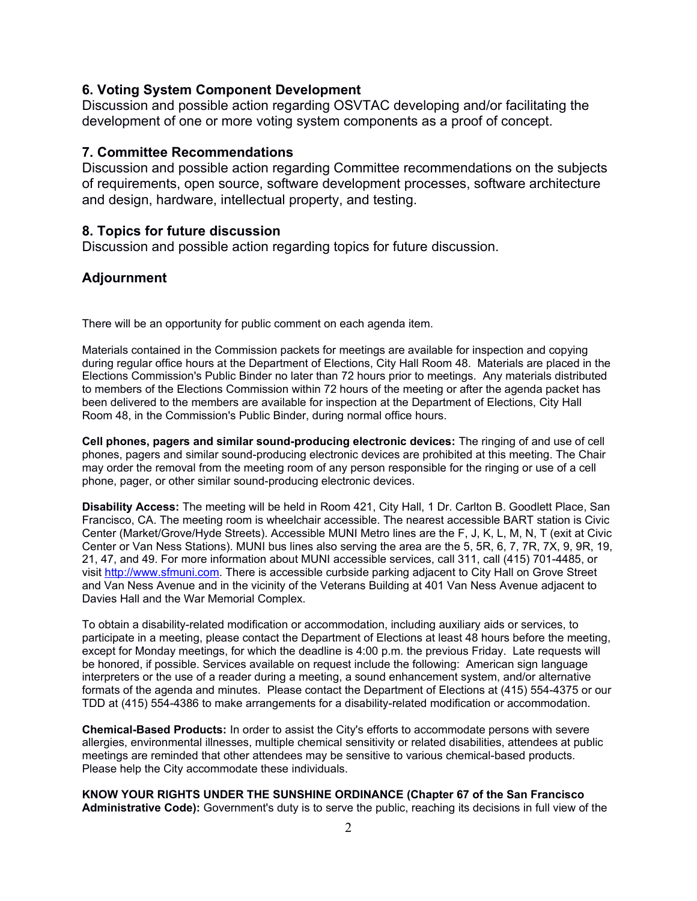#### **6. Voting System Component Development**

Discussion and possible action regarding OSVTAC developing and/or facilitating the development of one or more voting system components as a proof of concept.

### **7. Committee Recommendations**

Discussion and possible action regarding Committee recommendations on the subjects of requirements, open source, software development processes, software architecture and design, hardware, intellectual property, and testing.

#### **8. Topics for future discussion**

Discussion and possible action regarding topics for future discussion.

### **Adjournment**

There will be an opportunity for public comment on each agenda item.

Materials contained in the Commission packets for meetings are available for inspection and copying during regular office hours at the Department of Elections, City Hall Room 48. Materials are placed in the Elections Commission's Public Binder no later than 72 hours prior to meetings. Any materials distributed to members of the Elections Commission within 72 hours of the meeting or after the agenda packet has been delivered to the members are available for inspection at the Department of Elections, City Hall Room 48, in the Commission's Public Binder, during normal office hours.

**Cell phones, pagers and similar sound-producing electronic devices:** The ringing of and use of cell phones, pagers and similar sound-producing electronic devices are prohibited at this meeting. The Chair may order the removal from the meeting room of any person responsible for the ringing or use of a cell phone, pager, or other similar sound-producing electronic devices.

**Disability Access:** The meeting will be held in Room 421, City Hall, 1 Dr. Carlton B. Goodlett Place, San Francisco, CA. The meeting room is wheelchair accessible. The nearest accessible BART station is Civic Center (Market/Grove/Hyde Streets). Accessible MUNI Metro lines are the F, J, K, L, M, N, T (exit at Civic Center or Van Ness Stations). MUNI bus lines also serving the area are the 5, 5R, 6, 7, 7R, 7X, 9, 9R, 19, 21, 47, and 49. For more information about MUNI accessible services, call 311, call (415) 701-4485, or visit [http://www.sfmuni.com.](http://www.sfmuni.com/) There is accessible curbside parking adjacent to City Hall on Grove Street and Van Ness Avenue and in the vicinity of the Veterans Building at 401 Van Ness Avenue adjacent to Davies Hall and the War Memorial Complex.

To obtain a disability-related modification or accommodation, including auxiliary aids or services, to participate in a meeting, please contact the Department of Elections at least 48 hours before the meeting, except for Monday meetings, for which the deadline is 4:00 p.m. the previous Friday. Late requests will be honored, if possible. Services available on request include the following: American sign language interpreters or the use of a reader during a meeting, a sound enhancement system, and/or alternative formats of the agenda and minutes. Please contact the Department of Elections at (415) 554-4375 or our TDD at (415) 554-4386 to make arrangements for a disability-related modification or accommodation.

**Chemical-Based Products:** In order to assist the City's efforts to accommodate persons with severe allergies, environmental illnesses, multiple chemical sensitivity or related disabilities, attendees at public meetings are reminded that other attendees may be sensitive to various chemical-based products. Please help the City accommodate these individuals.

**KNOW YOUR RIGHTS UNDER THE SUNSHINE ORDINANCE (Chapter 67 of the San Francisco Administrative Code):** Government's duty is to serve the public, reaching its decisions in full view of the